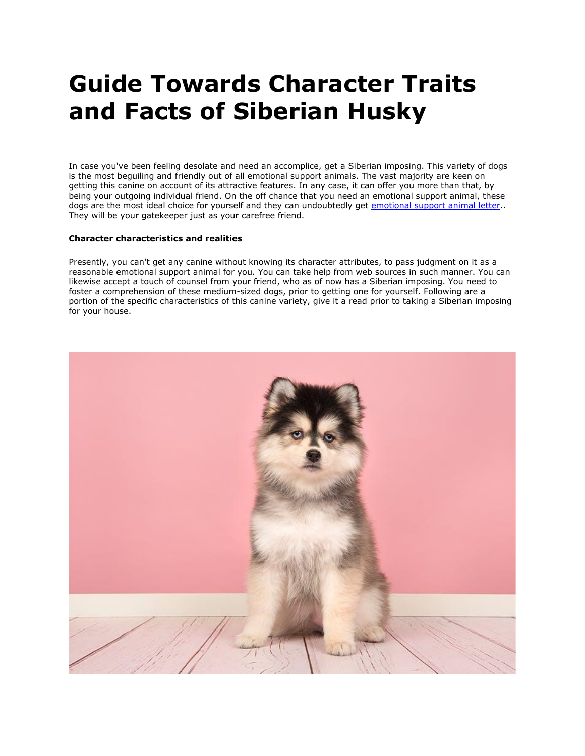## **Guide Towards Character Traits and Facts of Siberian Husky**

In case you've been feeling desolate and need an accomplice, get a Siberian imposing. This variety of dogs is the most beguiling and friendly out of all emotional support animals. The vast majority are keen on getting this canine on account of its attractive features. In any case, it can offer you more than that, by being your outgoing individual friend. On the off chance that you need an emotional support animal, these dogs are the most ideal choice for yourself and they can undoubtedly get [emotional support animal letter.](https://myesaletter.net/) They will be your gatekeeper just as your carefree friend.

## **Character characteristics and realities**

Presently, you can't get any canine without knowing its character attributes, to pass judgment on it as a reasonable emotional support animal for you. You can take help from web sources in such manner. You can likewise accept a touch of counsel from your friend, who as of now has a Siberian imposing. You need to foster a comprehension of these medium-sized dogs, prior to getting one for yourself. Following are a portion of the specific characteristics of this canine variety, give it a read prior to taking a Siberian imposing for your house.

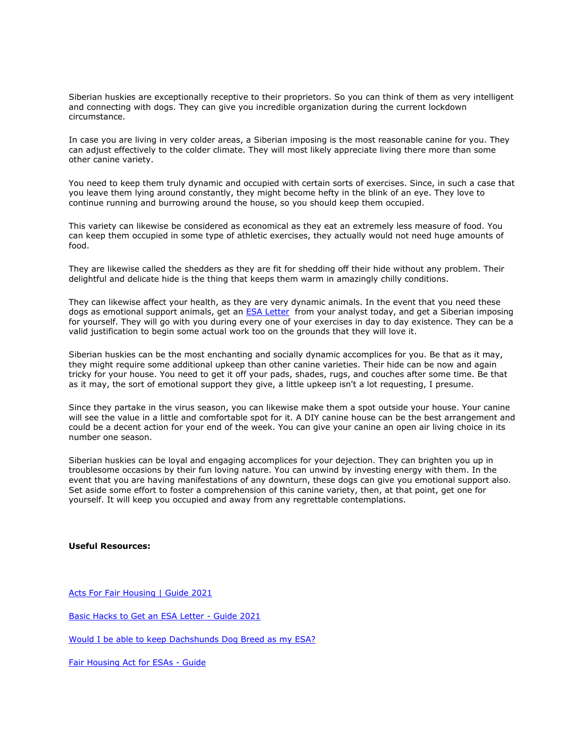Siberian huskies are exceptionally receptive to their proprietors. So you can think of them as very intelligent and connecting with dogs. They can give you incredible organization during the current lockdown circumstance.

In case you are living in very colder areas, a Siberian imposing is the most reasonable canine for you. They can adjust effectively to the colder climate. They will most likely appreciate living there more than some other canine variety.

You need to keep them truly dynamic and occupied with certain sorts of exercises. Since, in such a case that you leave them lying around constantly, they might become hefty in the blink of an eye. They love to continue running and burrowing around the house, so you should keep them occupied.

This variety can likewise be considered as economical as they eat an extremely less measure of food. You can keep them occupied in some type of athletic exercises, they actually would not need huge amounts of food.

They are likewise called the shedders as they are fit for shedding off their hide without any problem. Their delightful and delicate hide is the thing that keeps them warm in amazingly chilly conditions.

They can likewise affect your health, as they are very dynamic animals. In the event that you need these dogs as emotional support animals, get an **ESA Letter** from your analyst today, and get a Siberian imposing for yourself. They will go with you during every one of your exercises in day to day existence. They can be a valid justification to begin some actual work too on the grounds that they will love it.

Siberian huskies can be the most enchanting and socially dynamic accomplices for you. Be that as it may, they might require some additional upkeep than other canine varieties. Their hide can be now and again tricky for your house. You need to get it off your pads, shades, rugs, and couches after some time. Be that as it may, the sort of emotional support they give, a little upkeep isn't a lot requesting, I presume.

Since they partake in the virus season, you can likewise make them a spot outside your house. Your canine will see the value in a little and comfortable spot for it. A DIY canine house can be the best arrangement and could be a decent action for your end of the week. You can give your canine an open air living choice in its number one season.

Siberian huskies can be loyal and engaging accomplices for your dejection. They can brighten you up in troublesome occasions by their fun loving nature. You can unwind by investing energy with them. In the event that you are having manifestations of any downturn, these dogs can give you emotional support also. Set aside some effort to foster a comprehension of this canine variety, then, at that point, get one for yourself. It will keep you occupied and away from any regrettable contemplations.

## **Useful Resources:**

[Acts For Fair Housing | Guide 2021](https://canvas.mooc.upc.edu/eportfolios/5006/Home/Acts_For_Fair_Housing__Guide_2021)

[Basic Hacks to Get an ESA Letter -](https://canvas.mooc.upc.edu/eportfolios/5006/Home/Basic_Hacks_to_Get_an_ESA_Letter__Guide_2021) Guide 2021

[Would I be able to keep Dachshunds Dog Breed as my ESA?](https://lanafrost.cabanova.com/homepage.html)

[Fair Housing Act for ESAs -](https://liamtusom585.cabanova.com/draft/homepage.html) Guide